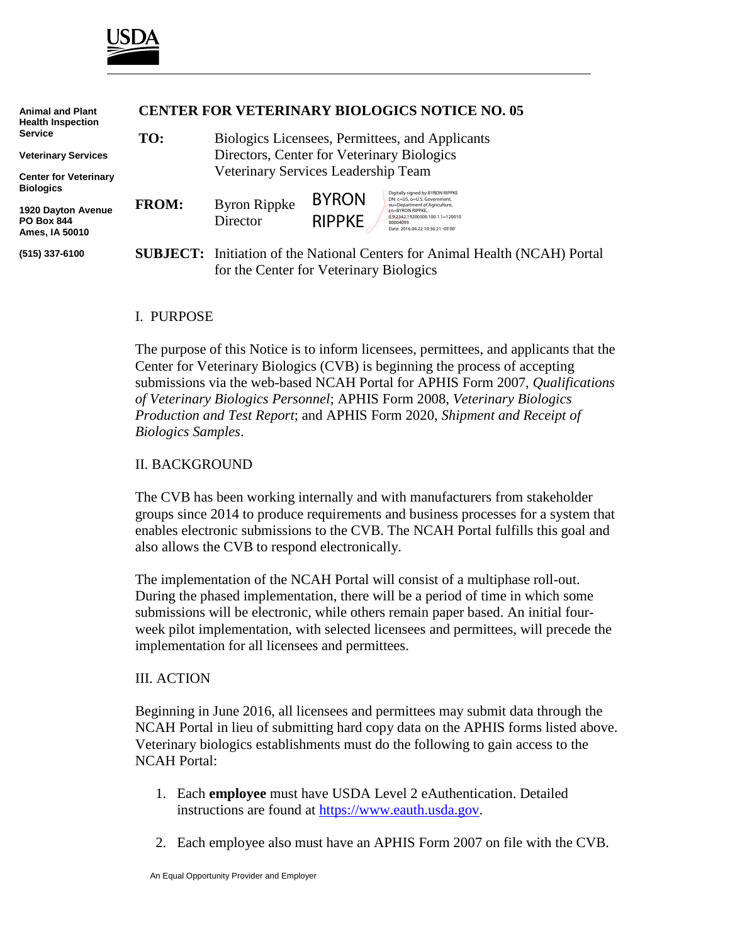

| <b>Animal and Plant</b><br><b>Health Inspection</b>       | <b>CENTER FOR VETERINARY BIOLOGICS NOTICE NO. 16-05</b> |                                                                                                                               |                               |                                                                                                                                                                                                            |
|-----------------------------------------------------------|---------------------------------------------------------|-------------------------------------------------------------------------------------------------------------------------------|-------------------------------|------------------------------------------------------------------------------------------------------------------------------------------------------------------------------------------------------------|
| Service                                                   | TO:                                                     | Biologics Licensees, Permittees, and Applicants<br>Directors, Center for Veterinary Biologics                                 |                               |                                                                                                                                                                                                            |
| <b>Veterinary Services</b>                                |                                                         |                                                                                                                               |                               |                                                                                                                                                                                                            |
| <b>Center for Veterinary</b><br><b>Biologics</b>          | Veterinary Services Leadership Team                     |                                                                                                                               |                               |                                                                                                                                                                                                            |
| 1920 Dayton Avenue<br><b>PO Box 844</b><br>Ames. IA 50010 | <b>FROM:</b>                                            | <b>Byron Rippke</b><br>Director                                                                                               | <b>BYRON</b><br><b>RIPPKE</b> | Digitally signed by BYRON RIPPKE<br>DN: c=US, o=U.S. Government,<br>ou=Department of Agriculture,<br>cn=BYRON RIPPKE.<br>0.9.2342.19200300.100.1.1=120010<br>00004093<br>Date: 2016.04.22 10:36:21 -05'00' |
| (515) 337-6100                                            |                                                         | <b>SUBJECT:</b> Initiation of the National Centers for Animal Health (NCAH) Portal<br>for the Center for Veterinary Biologics |                               |                                                                                                                                                                                                            |

#### I. PURPOSE

The purpose of this Notice is to inform licensees, permittees, and applicants that the Center for Veterinary Biologics (CVB) is beginning the process of accepting submissions via the web-based NCAH Portal for APHIS Form 2007, *Qualifications of Veterinary Biologics Personnel*; APHIS Form 2008, *Veterinary Biologics Production and Test Report*; and APHIS Form 2020, *Shipment and Receipt of Biologics Samples*.

### II. BACKGROUND

The CVB has been working internally and with manufacturers from stakeholder groups since 2014 to produce requirements and business processes for a system that enables electronic submissions to the CVB. The NCAH Portal fulfills this goal and also allows the CVB to respond electronically.

The implementation of the NCAH Portal will consist of a multiphase roll-out. During the phased implementation, there will be a period of time in which some submissions will be electronic, while others remain paper based. An initial fourweek pilot implementation, with selected licensees and permittees, will precede the implementation for all licensees and permittees.

### III. ACTION

Beginning in June 2016, all licensees and permittees may submit data through the NCAH Portal in lieu of submitting hard copy data on the APHIS forms listed above. Veterinary biologics establishments must do the following to gain access to the NCAH Portal:

- 1. Each **employee** must have USDA Level 2 eAuthentication. Detailed instructions are found at [https://www.eauth.usda.gov.](https://www.eauth.usda.gov/)
- 2. Each employee also must have an APHIS Form 2007 on file with the CVB.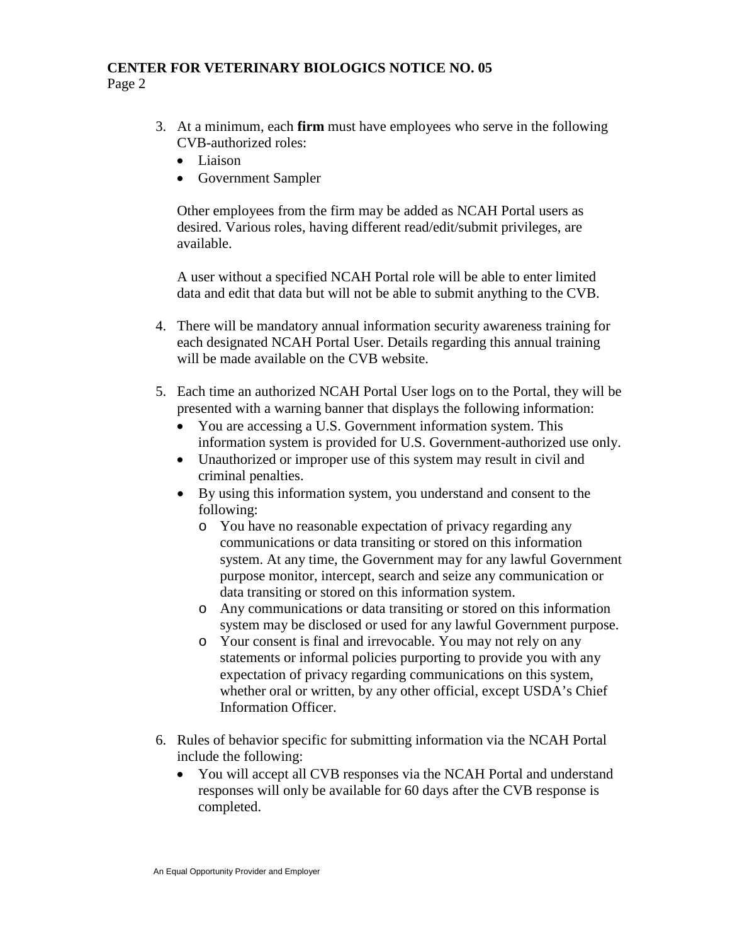## **CENTER FOR VETERINARY BIOLOGICS NOTICE NO. 05** Page 2

- 3. At a minimum, each **firm** must have employees who serve in the following CVB-authorized roles:
	- Liaison
	- Government Sampler

Other employees from the firm may be added as NCAH Portal users as desired. Various roles, having different read/edit/submit privileges, are available.

A user without a specified NCAH Portal role will be able to enter limited data and edit that data but will not be able to submit anything to the CVB.

- 4. There will be mandatory annual information security awareness training for each designated NCAH Portal User. Details regarding this annual training will be made available on the CVB website.
- 5. Each time an authorized NCAH Portal User logs on to the Portal, they will be presented with a warning banner that displays the following information:
	- You are accessing a U.S. Government information system. This information system is provided for U.S. Government-authorized use only.
	- Unauthorized or improper use of this system may result in civil and criminal penalties.
	- By using this information system, you understand and consent to the following:
		- o You have no reasonable expectation of privacy regarding any communications or data transiting or stored on this information system. At any time, the Government may for any lawful Government purpose monitor, intercept, search and seize any communication or data transiting or stored on this information system.
		- o Any communications or data transiting or stored on this information system may be disclosed or used for any lawful Government purpose.
		- o Your consent is final and irrevocable. You may not rely on any statements or informal policies purporting to provide you with any expectation of privacy regarding communications on this system, whether oral or written, by any other official, except USDA's Chief Information Officer.
- 6. Rules of behavior specific for submitting information via the NCAH Portal include the following:
	- You will accept all CVB responses via the NCAH Portal and understand responses will only be available for 60 days after the CVB response is completed.